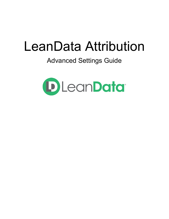# LeanData Attribution

# Advanced Settings Guide

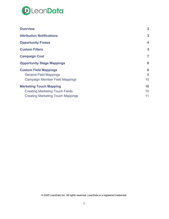

| <b>Overview</b>                          | 3              |
|------------------------------------------|----------------|
| <b>Attribution Notifications</b>         | 3              |
| <b>Opportunity Freeze</b>                | 4              |
| <b>Custom Filters</b>                    | 5              |
| <b>Campaign Cost</b>                     | $\overline{7}$ |
| <b>Opportunity Stage Mappings</b>        | 8              |
| <b>Custom Field Mappings</b>             | 9              |
| <b>General Field Mappings</b>            | 9              |
| <b>Campaign Member Field Mappings</b>    | 10             |
| <b>Marketing Touch Mapping</b>           | 10             |
| <b>Creating Marketing Touch Fields</b>   | 10             |
| <b>Creating Marketing Touch Mappings</b> | 11             |

© 2020 LeanData Inc. All rights reserved. LeanData is a registered trademark.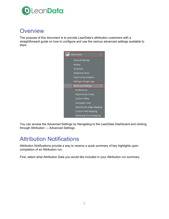

#### <span id="page-2-0"></span>**Overview**

The purpose of this document is to provide LeanData's attribution customers with a straightforward guide on how to configure and use the various advanced settings available to them.



You can access the Advanced Settings by Navigating to the LeanData Dashboard and clicking through Attribution  $\rightarrow$  Advanced Settings.

# <span id="page-2-1"></span>Attribution Notifications

Attribution Notifications provide a way to receive a quick summary of key highlights upon completion of an Attribution run.

First, select what Attribution Data you would like included in your Attribution run summary.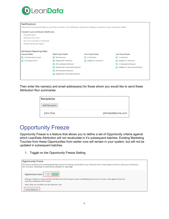

| Included in your Attribution Notification:                   |                                                  |                                           |                                           |  |
|--------------------------------------------------------------|--------------------------------------------------|-------------------------------------------|-------------------------------------------|--|
| · Org Information                                            |                                                  |                                           |                                           |  |
| · Attribution Run Time                                       |                                                  |                                           |                                           |  |
| . Run Errors and Batch Information                           |                                                  |                                           |                                           |  |
| · Detailed Attribution Report                                |                                                  |                                           |                                           |  |
| <b>General Fields</b>                                        | Multi-Touch Fields                               | <b>First Touch Fields</b>                 | <b>Last Touch Fields</b>                  |  |
| <b>Total Marketing Touches</b><br><b>Total Opportunities</b> | <b>MT Attribution</b><br>Weighted MT Attribution | FT Attribution<br>Weighted FT Attribution | LT Attribution<br>Weighted LT Attribution |  |
|                                                              | MT Accelerated Attribution                       |                                           | LT Generated Attribution                  |  |
|                                                              | Weighted MT Accelerated Attribution              |                                           | Weighted LT Generated Attribution         |  |
|                                                              |                                                  |                                           |                                           |  |
|                                                              | MT Generated Attribution                         |                                           |                                           |  |

Then enter the name(s) and email address(es) for those whom you would like to send these Attribution Run summaries.

| Recipients    |                  |
|---------------|------------------|
| Add Recipient |                  |
| John Doe      | johndoe@acme.com |

# <span id="page-3-0"></span>**Opportunity Freeze**

Opportunity Freeze is a feature that allows you to define a set of Opportunity criteria against which LeanData Attribution will not recalculate in it's subsequent batches. Existing Marketing Touches from these Opportunities from earlier runs will remain in your system, but will not be updated in subsequent batches.

1. Toggle on the Opportunity Freeze Setting

| <b>Opportunity Freeze</b>                                                                                                                                                                                                   |
|-----------------------------------------------------------------------------------------------------------------------------------------------------------------------------------------------------------------------------|
| This feature prevents your existing Marketing Touches from being reevaluated in your Attribution Run. Freeze Opportunities to reduce your Attribution<br>Run time (your Marketing Touches will be available for reporting). |
| <b>Opportunity Freeze Off</b><br>On                                                                                                                                                                                         |
| Adding conditions to Opportunities will determine which Opportunities and Marketing Touches are frozen. Only opportunities that<br>meet the conditions will be frozen.                                                      |
| Note: Only one condition can be added per row.                                                                                                                                                                              |
| Add Condition Set                                                                                                                                                                                                           |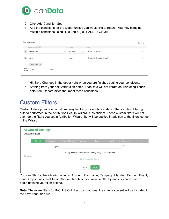

- 2. Click Add Condition Set
- 3. Add the conditions for the Opportunities you would like to freeze. You may combine multiple conditions using Rule Logic. (i.e. 1 AND (2 OR 3))

|                | Opportunity          |               |           |                                                 | Remove                 |
|----------------|----------------------|---------------|-----------|-------------------------------------------------|------------------------|
|                | Opportunity Field    |               | Operator  | Value                                           |                        |
|                | Created Date         | $\checkmark$  | less than | 2019-01-01 00:00:00<br>$\checkmark$             | $\times$               |
| $\overline{2}$ | Stage                | $\smallsmile$ | equals    | Closed Won, Closed Lost, Closed<br>$\checkmark$ | $\mathsf{X}$<br>$\vee$ |
|                | <b>Add Condition</b> |               |           |                                                 |                        |
| Rule<br>Logic  | 1 AND 2              | Reset         |           |                                                 |                        |

- 4. Hit Save Changes in the upper right when you are finished setting your conditions.
- 5. Starting from your next Attribution batch, LeanData will not iterate on Marketing Touch data from Opportunities that meet these conditions.

# <span id="page-4-0"></span>Custom Filters

Custom Filters provide an additional way to filter your attribution data if the standard filtering criteria performed in the Attribution Set-Up Wizard is insufficient. These custom filters will not override the filters you set in Attribution Wizard, but will be applied in addition to the filters set up in the Wizard.

| <b>Advanced Settings</b><br><b>Custom Filters</b>                                                                                          |         |          |                 |         |       |      |             |      |
|--------------------------------------------------------------------------------------------------------------------------------------------|---------|----------|-----------------|---------|-------|------|-------------|------|
|                                                                                                                                            | Account | Campaign | Campaign Member | Contact | Event | Lead | Opportunity | Task |
|                                                                                                                                            |         | Logic:   |                 |         |       |      | ⓒ           |      |
| This object does not contain any rules, start by clicking on Add Rule button<br>$^{+}$<br>Add Rule<br><b>Show Previous Filter Settings</b> |         |          |                 |         |       |      |             |      |
|                                                                                                                                            |         |          |                 | Cancel  | Save  |      |             |      |

You can filter by the following objects: Account, Campaign, Campaign Member, Contact, Event, Lead, Opportunity, and Task. Click on the object you want to filter by and click "add rule" to begin defining your filter criteria.

**Note**: These are filters for INCLUSION. Records that meet the criteria you set will be included in the next Attribution run.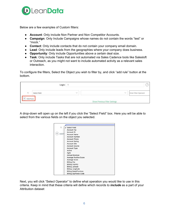

Below are a few examples of Custom filters:

- **Account**: Only include Non Partner and Non Competitor Accounts.
- **Campaign**: Only Include Campaigns whose names do not contain the words "test" or "mock."
- **Contact**: Only include contacts that do not contain your company email domain.
- **Lead**: Only include leads from the geographies where your company does business.
- **Opportunity**: Only include Opportunities above a certain deal size.
- **Task**: Only include Tasks that are not automated via Sales Cadence tools like Salesloft or Outreach, as you might not want to include automated activity as a relevant sales interaction.

To configure the filters, Select the Object you wish to filter by, and click "add rule" button at the bottom.

|              | Logic:       |                               |                      |
|--------------|--------------|-------------------------------|----------------------|
| Select Field | $\checkmark$ | $\vee$                        | Enter Filter Operand |
| Add Rule     |              | Show Previous Filter Settings |                      |

A drop-down will open up on the left if you click the "Select Field" box. Here you will be able to select from the various fields on the object you selected.



Next, you will click "Select Operator" to define what operation you would like to use in this criteria. Keep in mind that these criteria will define which records to *include* as a part of your Attribution dataset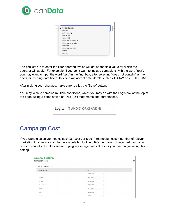

| ✔ Select Operator<br>equals<br>not equal to |  |
|---------------------------------------------|--|
| starts with                                 |  |
| ends with                                   |  |
| does not start with                         |  |
| does not end with                           |  |
| contains                                    |  |
| does not contain                            |  |
| is null                                     |  |
| not null                                    |  |

The final step is to enter the filter operand, which will define the field value for which the operator will apply. For example, if you don't want to include campaigns with the word "test", you may want to input the word "test" in the final box, after selecting "does not contain" as the operator. If using date filters, this field will accept date literals such as TODAY or YESTERDAY.

After making your changes, make sure to click the "Save" button.

You may wish to combine multiple conditions, which you may do with the Logic box at the top of the page, using a combination of AND / OR statements and parentheses.

**Logic:** (1 AND 2) OR (3 AND 4)

# <span id="page-6-0"></span>Campaign Cost

If you want to calculate metrics such as "cost per touch," (campaign cost  $\div$  number of relevant marketing touches) or want to have a detailed look into ROI but have not recorded campaign costs historically, it makes sense to plug in average cost values for your campaigns using this setting.

| <b>Advanced Settings</b><br><b>Campaign Costs</b> |             | $\bullet$ |
|---------------------------------------------------|-------------|-----------|
| Clear All Campaign Costs                          |             |           |
| Campaign Type                                     | Cost        |           |
| Advertising                                       | \$5,000.00  |           |
| Advocacy                                          | \$1,000.00  |           |
| Content                                           | \$4,000.00  |           |
| Content Syndication                               | \$10,000.00 |           |
| Direct Mail                                       | \$2,000.00  |           |
| Email                                             | \$1,000.00  |           |
| Email Send                                        | \$0.00      |           |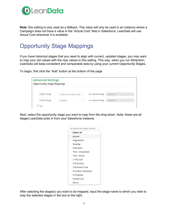

**Note**: this setting is only used as a fallback. This value will only be used in an instance where a Campaign does not have a value in the "Actual Cost" field in Salesforce. LeanData will use Actual Cost whenever it is available.

# <span id="page-7-0"></span>Opportunity Stage Mappings

If you have historical stages that you need to align with current, updated stages, you may want to map your old values with the new values in this setting. This way, when you run Attribution, LeanData will keep consistent and comparable data by using your current Opportunity Stages.

To begin, first click the "Add" button at the bottom of the page.

| <b>Advanced Settings</b><br><b>Opportunity Stage Mappings</b> |                                       |                            |             |
|---------------------------------------------------------------|---------------------------------------|----------------------------|-------------|
| Original Stage                                                | No Opportunity Stages Selected $\vee$ | $\rightarrow$ Mapped Stage | Closed Lost |
| Original Stage                                                | Closed Won<br>$\vee$                  | $\rightarrow$ Mapped Stage | Closed Won  |
| $^{+)}$<br>Add                                                |                                       |                            |             |

Next, select the opportunity stage you want to map from the drop-down. Note: these are all stages LeanData pulls in from your Salesforce instance.

| No Opportunity Stages Selected |
|--------------------------------|
| Select all                     |
| placed                         |
| Negotiation                    |
| Scoping                        |
| Evaluation                     |
| Trial - Completed              |
| Trial - Active                 |
| 1 First Call                   |
| 2 Discovery                    |
| 3 Business Case                |
| 4 Product Validation           |
| 5 Proposal                     |
| Closed Lost                    |
| Demo                           |

After selecting the stage(s) you want to be mapped, input the stage name to which you wish to map the selected stages in the box to the right.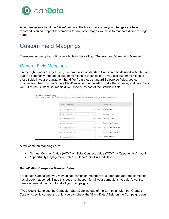

Again, make sure to hit the "Save" button at the bottom to ensure your changes are being recorded. You can repeat this process for any other stages you wish to map to a different stage name.

# <span id="page-8-0"></span>Custom Field Mappings

<span id="page-8-1"></span>There are two mapping options available in this setting: "General" and "Campaign Member."

#### General Field Mappings

On the right, under "Target Field," we have a list of standard Salesforce fields used in Attribution that are commonly mapped to custom versions of those fields. If you use custom versions of these fields in your organization that differ from these standard Salesforce fields, you can choose from the "Custom Source Field" selection on the left to make that change, and LeanData will utilize the Custom Source field you specify instead of the Standard field.

| <b>General Field Mappings</b><br>Select custom source fields to use if your organization does not use standard fields for the target fields indicated below. |                                                  |
|--------------------------------------------------------------------------------------------------------------------------------------------------------------|--------------------------------------------------|
| Custom Source Field                                                                                                                                          | <b>Target Field</b>                              |
| No Mapping Selected                                                                                                                                          | Account Type<br>$\checkmark$                     |
| No Mapping Selected                                                                                                                                          | Campaign Cost<br>$\checkmark$<br>_               |
| No Mapping Selected                                                                                                                                          | Campaign Member Date<br>$\checkmark$<br>$-\circ$ |
| No Mapping Selected                                                                                                                                          | Opportunity Amount<br>$\checkmark$<br>-          |
| No Mapping Selected                                                                                                                                          | Opportunity Close Date<br>$\checkmark$<br>–      |
| No Mapping Selected                                                                                                                                          | Opportunity Created Date<br>$\checkmark$<br>ー    |
| No Mapping Selected                                                                                                                                          | Opportunity Type<br>$\vee$                       |

A few common mappings are:

- "Annual Contract Value (ACV)" or "Total Contract Value (TCV)"  $\rightarrow$  Opportunity Amount
- "Opportunity Engagement Date"  $\rightarrow$  Opportunity Created Date

#### **Back-Dating Campaign Member Dates**

For certain Campaigns, you may upload campaign members at a later date after the campaign has already happened. Since this does not happen for all your campaigns, you don't want to create a general mapping for all of your campaigns.

If you would like to use the Campaign Start Date instead of the Campaign Member Created Date on specific campaigns only, you can check the "Back-Dated" field on the Campaigns you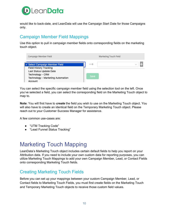

would like to back-date, and LeanData will use the Campaign Start Date for those Campaigns only.

#### <span id="page-9-0"></span>Campaign Member Field Mappings

Use this option to pull in campaign member fields onto corresponding fields on the marketing touch object.

| Campaign Member Field                                                                                                        | Marketing Touch Field |  |
|------------------------------------------------------------------------------------------------------------------------------|-----------------------|--|
| √ Select Campaign Member Field                                                                                               |                       |  |
| <b>Field History Tracking</b><br>Last Status Update Date<br>Technology - CRM<br>Technology - Marketing Automation<br>Account | Save                  |  |

You can select the specific campaign member field using the selection tool on the left. Once you've selected a field, you can select the corresponding field on the Marketing Touch object to map to.

**Note**: You will first have to *create* the field you wish to use on the Marketing Touch object. You will also have to create an identical field on the Temporary Marketing Touch object. Please reach out to your Customer Success Manager for assistance.

A few common use-cases are:

- "UTM Tracking Code"
- "Lead Funnel Status Tracking"

#### <span id="page-9-1"></span>Marketing Touch Mapping

LeanData's Marketing Touch object includes certain default fields to help you report on your Attribution data. If you need to include your own custom data for reporting purposes, you can utilize Marketing Touch Mappings to add your own Campaign Member, Lead, or Contact Fields onto corresponding Marketing Touch fields.

#### <span id="page-9-2"></span>Creating Marketing Touch Fields

Before you can set up your mappings between your custom Campaign Member, Lead, or Contact fields to Marketing Touch Fields, you must first create fields on the Marketing Touch and Temporary Marketing Touch objects to receive those custom field values.